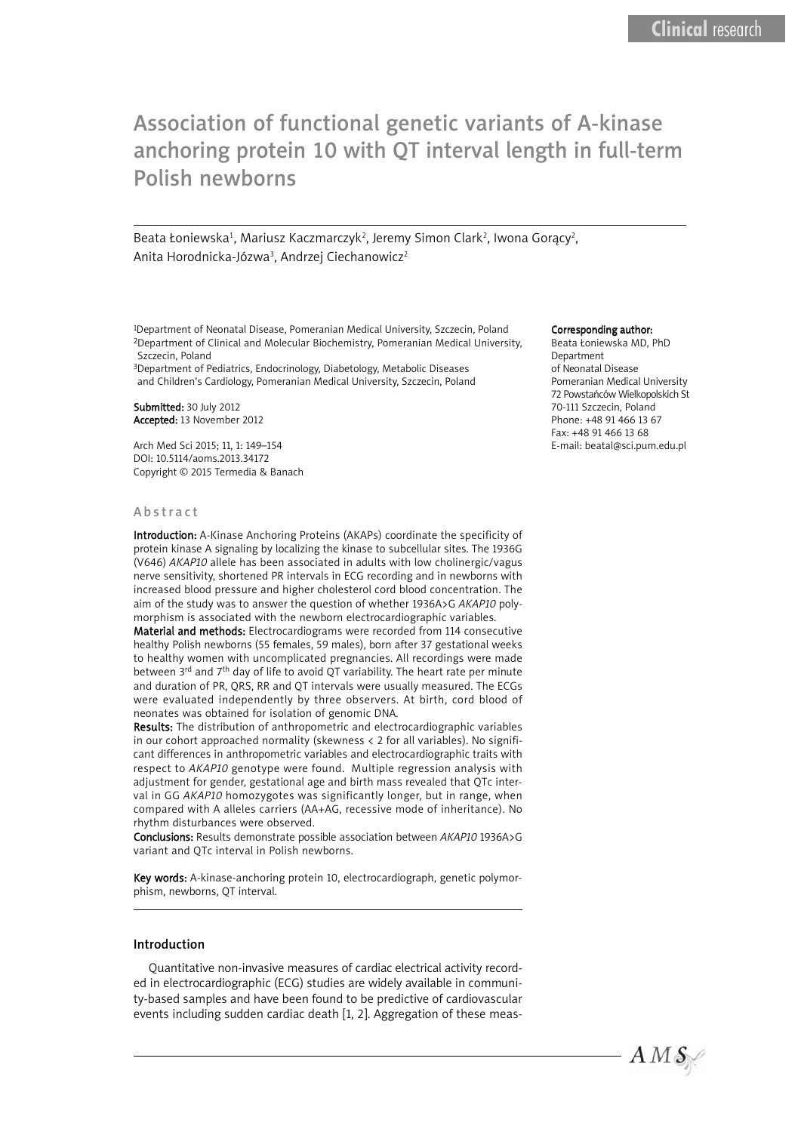# Association of functional genetic variants of A-kinase Association of functional genetic variants of A-kinase anchoring protein 10 with QT interval length in full-term anchoring protein 10 with QT interval length in full-term Polish newborns Polish newborns

Beata Łoniewska<sup>1</sup>, Mariusz Kaczmarczyk<sup>2</sup>, Jeremy Simon Clark<sup>2</sup>, Iwona Gorący<sup>2</sup>, Anita Horodnicka-Józwa<sup>3</sup>, Andrzej Ciechanowicz<sup>2</sup>

<sup>1</sup>Department of Neonatal Disease, Pomeranian Medical University, Szczecin, Poland 2Department of Clinical and Molecular Biochemistry, Pomeranian Medical University, Szczecin, Poland

3Department of Pediatrics, Endocrinology, Diabetology, Metabolic Diseases and Children's Cardiology, Pomeranian Medical University, Szczecin, Poland

Submitted: 30 July 2012 Accepted: 13 November 2012

Arch Med Sci 2015; 11, 1: 149–154 DOI: 10.5114/aoms.2013.34172 Copyright © 2015 Termedia & Banach

#### **Abstract**

Introduction: A-Kinase Anchoring Proteins (AKAPs) coordinate the specificity of protein kinase A signaling by localizing the kinase to subcellular sites. The 1936G (V646) *AKAP10* allele has been associated in adults with low cholinergic/vagus nerve sensitivity, shortened PR intervals in ECG recording and in newborns with increased blood pressure and higher cholesterol cord blood concentration. The aim of the study was to answer the question of whether 1936A>G *AKAP10* polymorphism is associated with the newborn electrocardiographic variables.

Material and methods: Electrocardiograms were recorded from 114 consecutive healthy Polish newborns (55 females, 59 males), born after 37 gestational weeks to healthy women with uncomplicated pregnancies. All recordings were made between  $3^{rd}$  and  $7^{th}$  day of life to avoid QT variability. The heart rate per minute and duration of PR, QRS, RR and QT intervals were usually measured. The ECGs were evaluated independently by three observers. At birth, cord blood of neonates was obtained for isolation of genomic DNA.

Results: The distribution of anthropometric and electrocardiographic variables in our cohort approached normality (skewness < 2 for all variables). No significant differences in anthropometric variables and electrocardiographic traits with respect to *AKAP10* genotype were found. Multiple regression analysis with adjustment for gender, gestational age and birth mass revealed that QTc interval in GG *AKAP10* homozygotes was significantly longer, but in range, when compared with A alleles carriers (AA+AG, recessive mode of inheritance). No rhythm disturbances were observed.

Conclusions: Results demonstrate possible association between *AKAP10* 1936A>G variant and QTc interval in Polish newborns.

Key words: A-kinase-anchoring protein 10, electrocardiograph, genetic polymorphism, newborns, QT interval.

### Introduction

Quantitative non-invasive measures of cardiac electrical activity recorded in electrocardiographic (ECG) studies are widely available in community-based samples and have been found to be predictive of cardiovascular events including sudden cardiac death [1, 2]. Aggregation of these meas-

#### Corresponding author:

Beata Łoniewska MD, PhD Department of Neonatal Disease Pomeranian Medical University 72 Powstańców Wielkopolskich St 70-111 Szczecin, Poland Phone: +48 91 466 13 67 Fax: +48 91 466 13 68 E-mail: beatal@sci.pum.edu.pl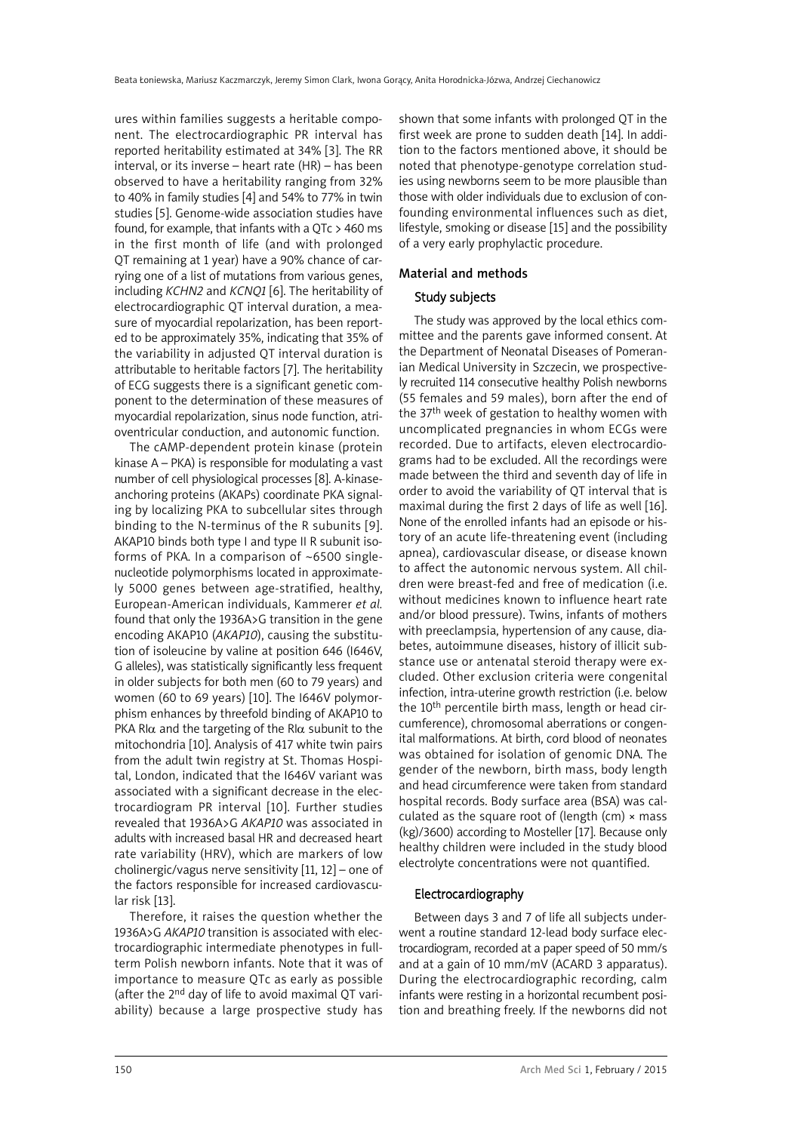ures within families suggests a heritable component. The electrocardiographic PR interval has reported heritability estimated at 34% [3]. The RR interval, or its inverse – heart rate (HR) – has been observed to have a heritability ranging from 32% to 40% in family studies [4] and 54% to 77% in twin studies [5]. Genome-wide association studies have found, for example, that infants with a QTc > 460 ms in the first month of life (and with prolonged QT remaining at 1 year) have a 90% chance of carrying one of a list of mutations from various genes, including *KCHN2* and *KCNQ1* [6]. The heritability of electrocardiographic QT interval duration, a measure of myocardial repolarization, has been reported to be approximately 35%, indicating that 35% of the variability in adjusted QT interval duration is attributable to heritable factors [7]. The heritability of ECG suggests there is a significant genetic component to the determination of these measures of myocardial repolarization, sinus node function, atrioventricular conduction, and autonomic function.

The cAMP-dependent protein kinase (protein kinase A – PKA) is responsible for modulating a vast number of cell physiological processes [8]. A-kinaseanchoring proteins (AKAPs) coordinate PKA signaling by localizing PKA to subcellular sites through binding to the N-terminus of the R subunits [9]. AKAP10 binds both type I and type II R subunit isoforms of PKA. In a comparison of ~6500 singlenucleotide polymorphisms located in approximately 5000 genes between age-stratified, healthy, European-American individuals, Kammerer *et al.* found that only the 1936A>G transition in the gene encoding AKAP10 (*AKAP10*), causing the substitution of isoleucine by valine at position 646 (I646V, G alleles), was statistically significantly less frequent in older subjects for both men (60 to 79 years) and women (60 to 69 years) [10]. The I646V polymorphism enhances by threefold binding of AKAP10 to PKA RI $\alpha$  and the targeting of the RI $\alpha$  subunit to the mitochondria [10]. Analysis of 417 white twin pairs from the adult twin registry at St. Thomas Hospital, London, indicated that the I646V variant was associated with a significant decrease in the electrocardiogram PR interval [10]. Further studies revealed that 1936A>G *AKAP10* was associated in adults with increased basal HR and decreased heart rate variability (HRV), which are markers of low cholinergic/vagus nerve sensitivity [11, 12] – one of the factors responsible for increased cardiovascular risk [13].

Therefore, it raises the question whether the 1936A>G *AKAP10* transition is associated with electrocardiographic intermediate phenotypes in fullterm Polish newborn infants. Note that it was of importance to measure QTc as early as possible (after the 2nd day of life to avoid maximal QT variability) because a large prospective study has

shown that some infants with prolonged QT in the first week are prone to sudden death [14]. In addition to the factors mentioned above, it should be noted that phenotype-genotype correlation studies using newborns seem to be more plausible than those with older individuals due to exclusion of confounding environmental influences such as diet, lifestyle, smoking or disease [15] and the possibility of a very early prophylactic procedure.

# Material and methods

# Study subjects

The study was approved by the local ethics committee and the parents gave informed consent. At the Department of Neonatal Diseases of Pomeranian Medical University in Szczecin, we prospectively recruited 114 consecutive healthy Polish newborns (55 females and 59 males), born after the end of the 37<sup>th</sup> week of gestation to healthy women with uncomplicated pregnancies in whom ECGs were recorded. Due to artifacts, eleven electrocardiograms had to be excluded. All the recordings were made between the third and seventh day of life in order to avoid the variability of QT interval that is maximal during the first 2 days of life as well [16]. None of the enrolled infants had an episode or history of an acute life-threatening event (including apnea), cardiovascular disease, or disease known to affect the autonomic nervous system. All children were breast-fed and free of medication (i.e. without medicines known to influence heart rate and/or blood pressure). Twins, infants of mothers with preeclampsia, hypertension of any cause, diabetes, autoimmune diseases, history of illicit substance use or antenatal steroid therapy were excluded. Other exclusion criteria were congenital infection, intra-uterine growth restriction (i.e. below the 10<sup>th</sup> percentile birth mass, length or head circumference), chromosomal aberrations or congenital malformations. At birth, cord blood of neonates was obtained for isolation of genomic DNA. The gender of the newborn, birth mass, body length and head circumference were taken from standard hospital records. Body surface area (BSA) was calculated as the square root of (length (cm)  $\times$  mass (kg)/3600) according to Mosteller [17]. Because only healthy children were included in the study blood electrolyte concentrations were not quantified.

# Electrocardiography

Between days 3 and 7 of life all subjects underwent a routine standard 12-lead body surface electrocardiogram, recorded at a paper speed of 50 mm/s and at a gain of 10 mm/mV (ACARD 3 apparatus). During the electrocardiographic recording, calm infants were resting in a horizontal recumbent position and breathing freely. If the newborns did not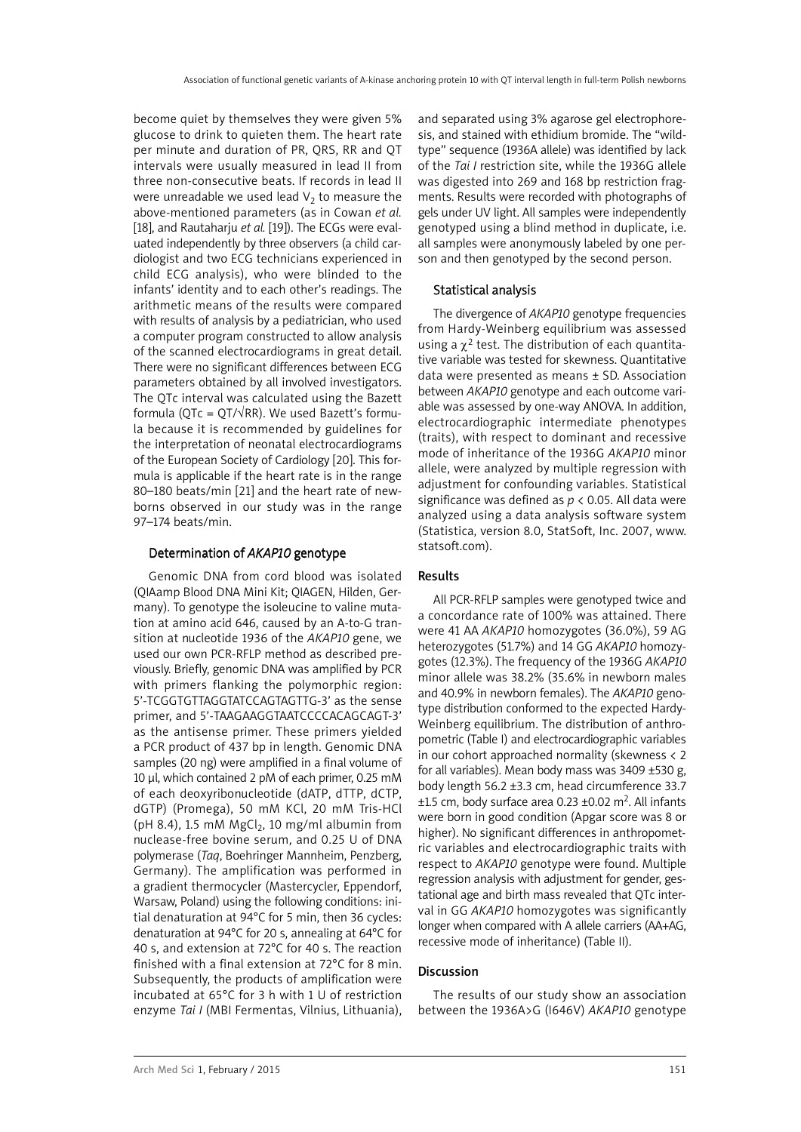become quiet by themselves they were given 5% glucose to drink to quieten them. The heart rate per minute and duration of PR, QRS, RR and QT intervals were usually measured in lead II from three non-consecutive beats. If records in lead II were unreadable we used lead  $V_2$  to measure the above-mentioned parameters (as in Cowan *et al.* [18], and Rautaharju *et al.* [19]). The ECGs were evaluated independently by three observers (a child cardiologist and two ECG technicians experienced in child ECG analysis), who were blinded to the infants' identity and to each other's readings. The arithmetic means of the results were compared with results of analysis by a pediatrician, who used a computer program constructed to allow analysis of the scanned electrocardiograms in great detail. There were no significant differences between ECG parameters obtained by all involved investigators. The QTc interval was calculated using the Bazett formula (QTc = QT/ $\sqrt{RR}$ ). We used Bazett's formula because it is recommended by guidelines for the interpretation of neonatal electrocardiograms of the European Society of Cardiology [20]. This formula is applicable if the heart rate is in the range 80–180 beats/min [21] and the heart rate of newborns observed in our study was in the range 97–174 beats/min.

## Determination of *AKAP10* genotype

Genomic DNA from cord blood was isolated (QIAamp Blood DNA Mini Kit; QIAGEN, Hilden, Germany). To genotype the isoleucine to valine mutation at amino acid 646, caused by an A-to-G transition at nucleotide 1936 of the *AKAP10* gene, we used our own PCR-RFLP method as described previously. Briefly, genomic DNA was amplified by PCR with primers flanking the polymorphic region: 5'-TCGGTGTTAGGTATCCAGTAGTTG-3' as the sense primer, and 5'-TAAGAAGGTAATCCCCACAGCAGT-3' as the antisense primer. These primers yielded a PCR product of 437 bp in length. Genomic DNA samples (20 ng) were amplified in a final volume of 10 µl, which contained 2 pM of each primer, 0.25 mM of each deoxyribonucleotide (dATP, dTTP, dCTP, dGTP) (Promega), 50 mM KCl, 20 mM Tris-HCl (pH 8.4), 1.5 mM  $MgCl<sub>2</sub>$ , 10 mg/ml albumin from nuclease-free bovine serum, and 0.25 U of DNA polymerase (*Taq*, Boehringer Mannheim, Penzberg, Germany). The amplification was performed in a gradient thermocycler (Mastercycler, Eppendorf, Warsaw, Poland) using the following conditions: initial denaturation at 94°C for 5 min, then 36 cycles: denaturation at 94°C for 20 s, annealing at 64°C for 40 s, and extension at 72°C for 40 s. The reaction finished with a final extension at 72°C for 8 min. Subsequently, the products of amplification were incubated at 65°C for 3 h with 1 U of restriction enzyme *Tai I* (MBI Fermentas, Vilnius, Lithuania), and separated using 3% agarose gel electrophoresis, and stained with ethidium bromide. The "wildtype" sequence (1936A allele) was identified by lack of the *Tai I* restriction site, while the 1936G allele was digested into 269 and 168 bp restriction fragments. Results were recorded with photographs of gels under UV light. All samples were independently genotyped using a blind method in duplicate, i.e. all samples were anonymously labeled by one person and then genotyped by the second person.

# Statistical analysis

The divergence of *AKAP10* genotype frequencies from Hardy-Weinberg equilibrium was assessed using a  $\chi^2$  test. The distribution of each quantitative variable was tested for skewness. Quantitative data were presented as means ± SD. Association between *AKAP10* genotype and each outcome variable was assessed by one-way ANOVA. In addition, electrocardiographic intermediate phenotypes (traits), with respect to dominant and recessive mode of inheritance of the 1936G *AKAP10* minor allele, were analyzed by multiple regression with adjustment for confounding variables. Statistical significance was defined as *p* < 0.05. All data were analyzed using a data analysis software system (Statistica, version 8.0, StatSoft, Inc. 2007, www. statsoft.com).

# Results

All PCR-RFLP samples were genotyped twice and a concordance rate of 100% was attained. There were 41 AA *AKAP10* homozygotes (36.0%), 59 AG heterozygotes (51.7%) and 14 GG *AKAP10* homozygotes (12.3%). The frequency of the 1936G *AKAP10* minor allele was 38.2% (35.6% in newborn males and 40.9% in newborn females). The *AKAP10* genotype distribution conformed to the expected Hardy-Weinberg equilibrium. The distribution of anthropometric (Table I) and electrocardiographic variables in our cohort approached normality (skewness < 2 for all variables). Mean body mass was 3409 ±530 g, body length 56.2 ±3.3 cm, head circumference 33.7  $±1.5$  cm, body surface area 0.23  $±0.02$  m<sup>2</sup>. All infants were born in good condition (Apgar score was 8 or higher). No significant differences in anthropometric variables and electrocardiographic traits with respect to *AKAP10* genotype were found. Multiple regression analysis with adjustment for gender, gestational age and birth mass revealed that QTc interval in GG *AKAP10* homozygotes was significantly longer when compared with A allele carriers (AA+AG, recessive mode of inheritance) (Table II).

## Discussion

The results of our study show an association between the 1936A>G (I646V) *AKAP10* genotype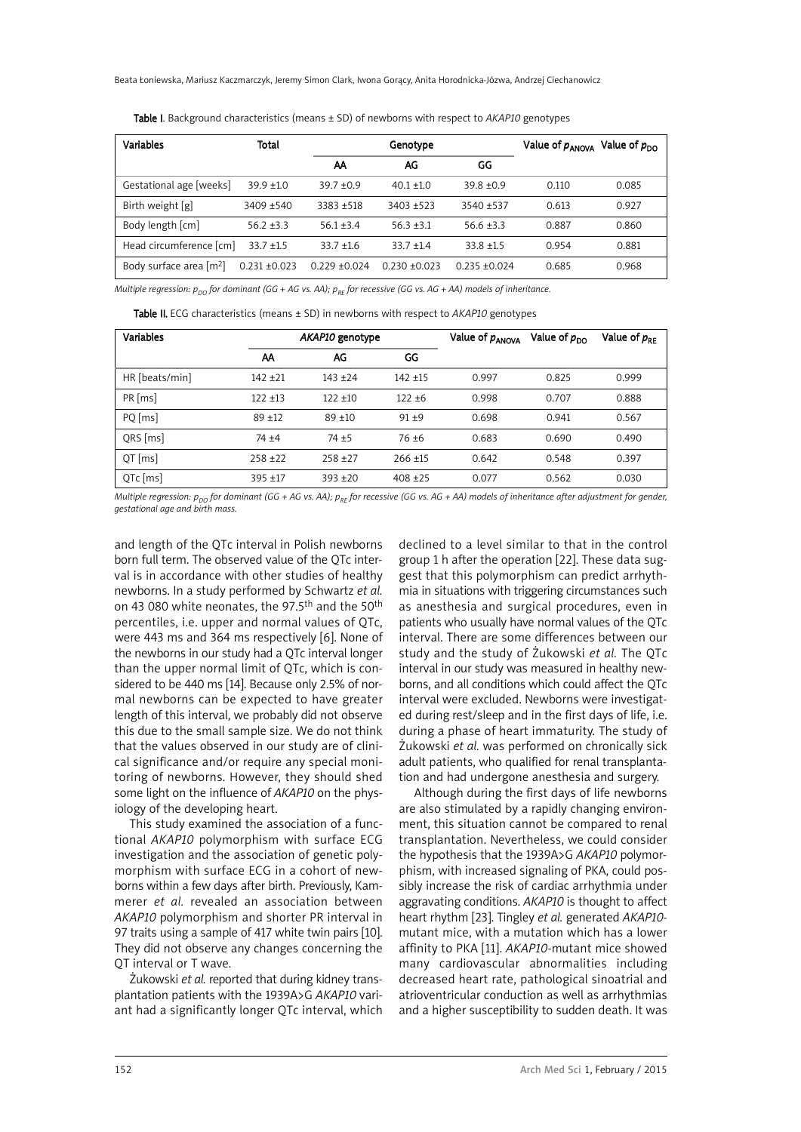| Variables                           | Total             |                 | Genotype        |                 |       | Value of $p_{\text{ANOVA}}$<br>Value of $p_{\text{no}}$ |
|-------------------------------------|-------------------|-----------------|-----------------|-----------------|-------|---------------------------------------------------------|
|                                     |                   | АА              | AG              | GG              |       |                                                         |
| Gestational age [weeks]             | $39.9 + 1.0$      | $39.7 + 0.9$    | $40.1 + 1.0$    | $39.8 + 0.9$    | 0.110 | 0.085                                                   |
| Birth weight [g]                    | $3409 + 540$      | $3383 + 518$    | $3403 + 523$    | $3540 + 537$    | 0.613 | 0.927                                                   |
| Body length [cm]                    | $56.2 + 3.3$      | $56.1 + 3.4$    | $56.3 + 3.1$    | $56.6 + 3.3$    | 0.887 | 0.860                                                   |
| Head circumference [cm]             | $33.7 + 1.5$      | $33.7 + 1.6$    | $33.7 + 1.4$    | $33.8 + 1.5$    | 0.954 | 0.881                                                   |
| Body surface area [m <sup>2</sup> ] | $0.231 \pm 0.023$ | $0.229 + 0.024$ | $0.230 + 0.023$ | $0.235 + 0.024$ | 0.685 | 0.968                                                   |

Table I. Background characteristics (means ± SD) of newborns with respect to *AKAP10* genotypes

Multiple regression:  $p_{D0}$  for dominant (GG + AG vs. AA);  $p_{RF}$  for recessive (GG vs. AG + AA) models of inheritance.

Table II. ECG characteristics (means ± SD) in newborns with respect to *AKAP10* genotypes

| <b>Variables</b> | AKAP10 genotype |            |            | Value of $p_{\text{ANOVA}}$ | Value of $p_{\text{DO}}$ | Value of $p_{RE}$ |
|------------------|-----------------|------------|------------|-----------------------------|--------------------------|-------------------|
|                  | АΑ              | AG         | GG         |                             |                          |                   |
| HR [beats/min]   | $142 + 21$      | $143 + 24$ | $142 + 15$ | 0.997                       | 0.825                    | 0.999             |
| $PR$ [ms]        | $122 + 13$      | $122 + 10$ | $122 + 6$  | 0.998                       | 0.707                    | 0.888             |
| PQ [ms]          | $89 + 12$       | $89 + 10$  | $91 + 9$   | 0.698                       | 0.941                    | 0.567             |
| QRS [ms]         | $74 + 4$        | $74 + 5$   | $76 + 6$   | 0.683                       | 0.690                    | 0.490             |
| $QT$ [ms]        | $258 + 22$      | $258 + 27$ | $266 + 15$ | 0.642                       | 0.548                    | 0.397             |
| QTc [ms]         | $395 + 17$      | $393 + 20$ | $408 + 25$ | 0.077                       | 0.562                    | 0.030             |

Multiple regression:  $p_{p0}$  for dominant (GG + AG vs. AA);  $p_{RF}$  for recessive (GG vs. AG + AA) models of inheritance after adjustment for gender, *gestational age and birth mass.*

and length of the QTc interval in Polish newborns born full term. The observed value of the QTc interval is in accordance with other studies of healthy newborns. In a study performed by Schwartz *et al.* on 43 080 white neonates, the 97.5<sup>th</sup> and the 50<sup>th</sup> percentiles, i.e. upper and normal values of QTc, were 443 ms and 364 ms respectively [6]. None of the newborns in our study had a QTc interval longer than the upper normal limit of QTc, which is considered to be 440 ms [14]. Because only 2.5% of normal newborns can be expected to have greater length of this interval, we probably did not observe this due to the small sample size. We do not think that the values observed in our study are of clinical significance and/or require any special monitoring of newborns. However, they should shed some light on the influence of *AKAP10* on the physiology of the developing heart.

This study examined the association of a functional *AKAP10* polymorphism with surface ECG investigation and the association of genetic polymorphism with surface ECG in a cohort of newborns within a few days after birth. Previously, Kammerer *et al.* revealed an association between *AKAP10* polymorphism and shorter PR interval in 97 traits using a sample of 417 white twin pairs [10]. They did not observe any changes concerning the QT interval or T wave.

Żukowski *et al.* reported that during kidney transplantation patients with the 1939A>G *AKAP10* variant had a significantly longer QTc interval, which declined to a level similar to that in the control group 1 h after the operation [22]. These data suggest that this polymorphism can predict arrhythmia in situations with triggering circumstances such as anesthesia and surgical procedures, even in patients who usually have normal values of the QTc interval. There are some differences between our study and the study of Żukowski *et al.* The QTc interval in our study was measured in healthy newborns, and all conditions which could affect the QTc interval were excluded. Newborns were investigated during rest/sleep and in the first days of life, i.e. during a phase of heart immaturity. The study of Żukowski *et al.* was performed on chronically sick adult patients, who qualified for renal transplantation and had undergone anesthesia and surgery.

Although during the first days of life newborns are also stimulated by a rapidly changing environment, this situation cannot be compared to renal transplantation. Nevertheless, we could consider the hypothesis that the 1939A>G *AKAP10* polymorphism, with increased signaling of PKA, could possibly increase the risk of cardiac arrhythmia under aggravating conditions. *AKAP10* is thought to affect heart rhythm [23]. Tingley *et al.* generated *AKAP10* mutant mice, with a mutation which has a lower affinity to PKA [11]. *AKAP10*-mutant mice showed many cardiovascular abnormalities including decreased heart rate, pathological sinoatrial and atrioventricular conduction as well as arrhythmias and a higher susceptibility to sudden death. It was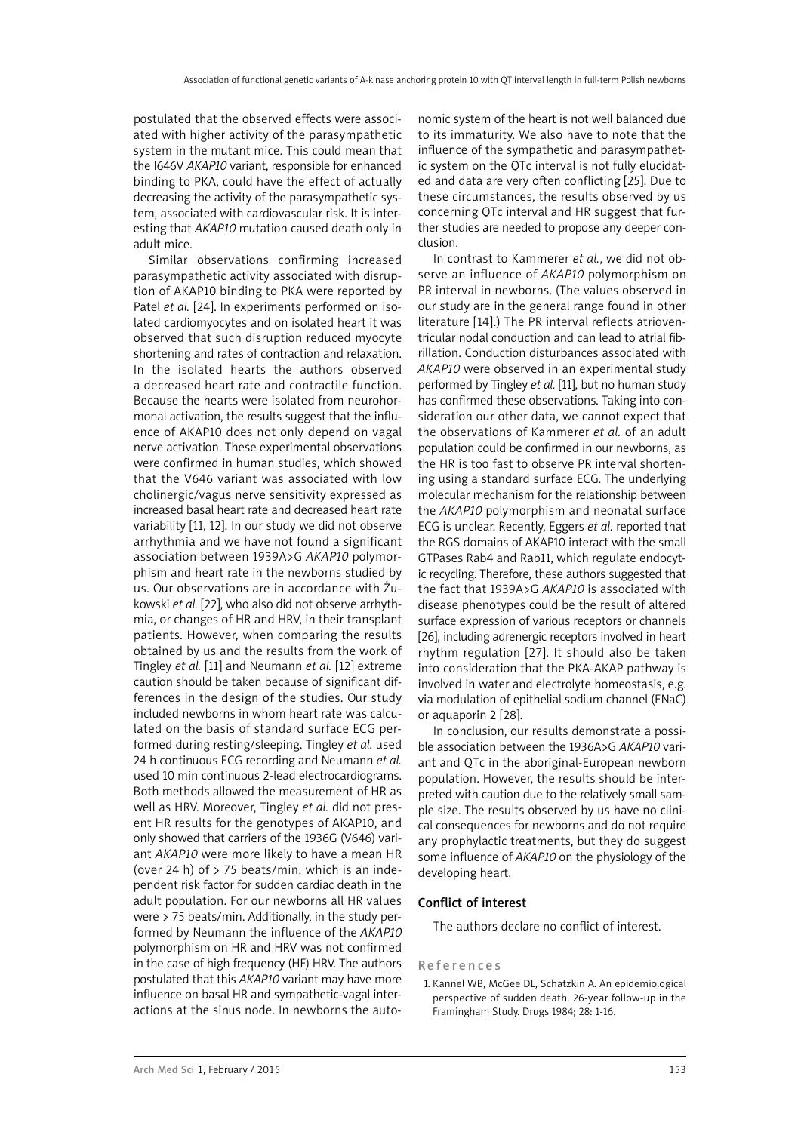postulated that the observed effects were associated with higher activity of the parasympathetic system in the mutant mice. This could mean that the I646V *AKAP10* variant, responsible for enhanced binding to PKA, could have the effect of actually decreasing the activity of the parasympathetic system, associated with cardiovascular risk. It is interesting that *AKAP10* mutation caused death only in adult mice.

Similar observations confirming increased parasympathetic activity associated with disruption of AKAP10 binding to PKA were reported by Patel *et al.* [24]. In experiments performed on isolated cardiomyocytes and on isolated heart it was observed that such disruption reduced myocyte shortening and rates of contraction and relaxation. In the isolated hearts the authors observed a decreased heart rate and contractile function. Because the hearts were isolated from neurohormonal activation, the results suggest that the influence of AKAP10 does not only depend on vagal nerve activation. These experimental observations were confirmed in human studies, which showed that the V646 variant was associated with low cholinergic/vagus nerve sensitivity expressed as increased basal heart rate and decreased heart rate variability [11, 12]. In our study we did not observe arrhythmia and we have not found a significant association between 1939A>G *AKAP10* polymorphism and heart rate in the newborns studied by us. Our observations are in accordance with Żukowski *et al.* [22], who also did not observe arrhythmia, or changes of HR and HRV, in their transplant patients. However, when comparing the results obtained by us and the results from the work of Tingley *et al.* [11] and Neumann *et al.* [12] extreme caution should be taken because of significant differences in the design of the studies. Our study included newborns in whom heart rate was calculated on the basis of standard surface ECG performed during resting/sleeping. Tingley *et al.* used 24 h continuous ECG recording and Neumann *et al.* used 10 min continuous 2-lead electrocardiograms. Both methods allowed the measurement of HR as well as HRV. Moreover, Tingley *et al.* did not present HR results for the genotypes of AKAP10, and only showed that carriers of the 1936G (V646) variant *AKAP10* were more likely to have a mean HR (over 24 h) of  $>$  75 beats/min, which is an independent risk factor for sudden cardiac death in the adult population. For our newborns all HR values were > 75 beats/min. Additionally, in the study performed by Neumann the influence of the *AKAP10* polymorphism on HR and HRV was not confirmed in the case of high frequency (HF) HRV. The authors postulated that this *AKAP10* variant may have more influence on basal HR and sympathetic-vagal interactions at the sinus node. In newborns the auto-

nomic system of the heart is not well balanced due to its immaturity. We also have to note that the influence of the sympathetic and parasympathetic system on the QTc interval is not fully elucidated and data are very often conflicting [25]. Due to these circumstances, the results observed by us concerning QTc interval and HR suggest that further studies are needed to propose any deeper conclusion.

In contrast to Kammerer *et al.*, we did not observe an influence of *AKAP10* polymorphism on PR interval in newborns. (The values observed in our study are in the general range found in other literature [14].) The PR interval reflects atrioventricular nodal conduction and can lead to atrial fibrillation. Conduction disturbances associated with *AKAP10* were observed in an experimental study performed by Tingley *et al.* [11], but no human study has confirmed these observations. Taking into consideration our other data, we cannot expect that the observations of Kammerer *et al.* of an adult population could be confirmed in our newborns, as the HR is too fast to observe PR interval shortening using a standard surface ECG. The underlying molecular mechanism for the relationship between the *AKAP10* polymorphism and neonatal surface ECG is unclear. Recently, Eggers *et al.* reported that the RGS domains of AKAP10 interact with the small GTPases Rab4 and Rab11, which regulate endocytic recycling. Therefore, these authors suggested that the fact that 1939A>G *AKAP10* is associated with disease phenotypes could be the result of altered surface expression of various receptors or channels [26], including adrenergic receptors involved in heart rhythm regulation [27]. It should also be taken into consideration that the PKA-AKAP pathway is involved in water and electrolyte homeostasis, e.g. via modulation of epithelial sodium channel (ENaC) or aquaporin 2 [28].

In conclusion, our results demonstrate a possible association between the 1936A>G *AKAP10* variant and QTc in the aboriginal-European newborn population. However, the results should be interpreted with caution due to the relatively small sample size. The results observed by us have no clinical consequences for newborns and do not require any prophylactic treatments, but they do suggest some influence of *AKAP10* on the physiology of the developing heart.

## Conflict of interest

The authors declare no conflict of interest.

#### **References**

1. Kannel WB, McGee DL, Schatzkin A. An epidemiological perspective of sudden death. 26-year follow-up in the Framingham Study. Drugs 1984; 28: 1-16.